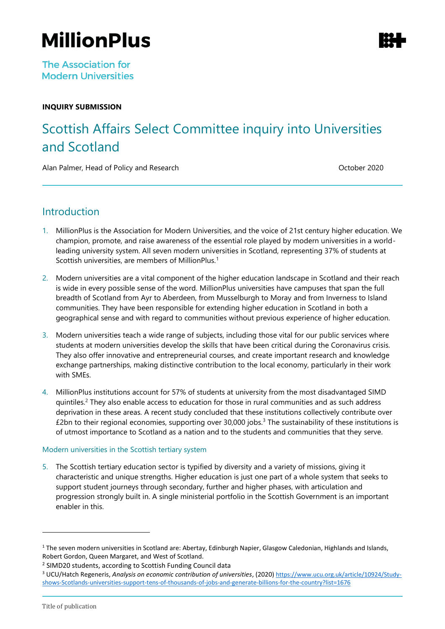# **MillionPlus**

#### **INQUIRY SUBMISSION**

## Scottish Affairs Select Committee inquiry into Universities and Scotland

Alan Palmer, Head of Policy and Research **Communist Contract Contract Contract Contract Contract Contract Contract Contract Contract Contract Contract Contract Contract Contract Contract Contract Contract Contract Contract** 

### **Introduction**

- 1. MillionPlus is the Association for Modern Universities, and the voice of 21st century higher education. We champion, promote, and raise awareness of the essential role played by modern universities in a worldleading university system. All seven modern universities in Scotland, representing 37% of students at Scottish universities, are members of MillionPlus.<sup>1</sup>
- 2. Modern universities are a vital component of the higher education landscape in Scotland and their reach is wide in every possible sense of the word. MillionPlus universities have campuses that span the full breadth of Scotland from Ayr to Aberdeen, from Musselburgh to Moray and from Inverness to Island communities. They have been responsible for extending higher education in Scotland in both a geographical sense and with regard to communities without previous experience of higher education.
- 3. Modern universities teach a wide range of subjects, including those vital for our public services where students at modern universities develop the skills that have been critical during the Coronavirus crisis. They also offer innovative and entrepreneurial courses, and create important research and knowledge exchange partnerships, making distinctive contribution to the local economy, particularly in their work with SMEs.
- 4. MillionPlus institutions account for 57% of students at university from the most disadvantaged SIMD quintiles. <sup>2</sup> They also enable access to education for those in rural communities and as such address deprivation in these areas. A recent study concluded that these institutions collectively contribute over  $£2$ bn to their regional economies, supporting over 30,000 jobs.<sup>3</sup> The sustainability of these institutions is of utmost importance to Scotland as a nation and to the students and communities that they serve.

#### Modern universities in the Scottish tertiary system

5. The Scottish tertiary education sector is typified by diversity and a variety of missions, giving it characteristic and unique strengths. Higher education is just one part of a whole system that seeks to support student journeys through secondary, further and higher phases, with articulation and progression strongly built in. A single ministerial portfolio in the Scottish Government is an important enabler in this.

 $1$  The seven modern universities in Scotland are: Abertay, Edinburgh Napier, Glasgow Caledonian, Highlands and Islands, Robert Gordon, Queen Margaret, and West of Scotland.

<sup>&</sup>lt;sup>2</sup> SIMD20 students, according to Scottish Funding Council data

<sup>3</sup> UCU/Hatch Regeneris, *Analysis on economic contribution of universities*, (2020) [https://www.ucu.org.uk/article/10924/Study](https://www.ucu.org.uk/article/10924/Study-shows-Scotlands-universities-support-tens-of-thousands-of-jobs-and-generate-billions-for-the-country?list=1676)[shows-Scotlands-universities-support-tens-of-thousands-of-jobs-and-generate-billions-for-the-country?list=1676](https://www.ucu.org.uk/article/10924/Study-shows-Scotlands-universities-support-tens-of-thousands-of-jobs-and-generate-billions-for-the-country?list=1676)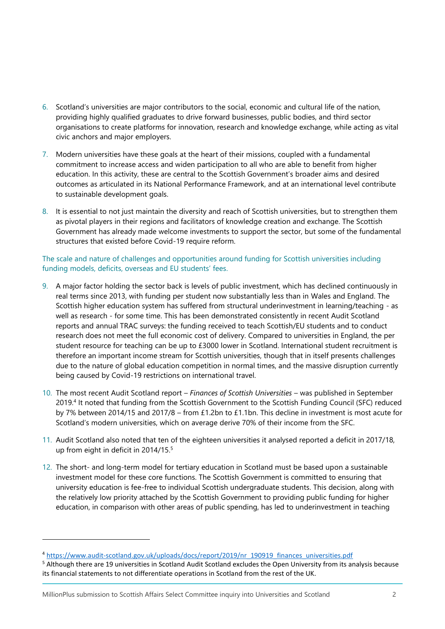- 6. Scotland's universities are major contributors to the social, economic and cultural life of the nation, providing highly qualified graduates to drive forward businesses, public bodies, and third sector organisations to create platforms for innovation, research and knowledge exchange, while acting as vital civic anchors and major employers.
- 7. Modern universities have these goals at the heart of their missions, coupled with a fundamental commitment to increase access and widen participation to all who are able to benefit from higher education. In this activity, these are central to the Scottish Government's broader aims and desired outcomes as articulated in its National Performance Framework, and at an international level contribute to sustainable development goals.
- 8. It is essential to not just maintain the diversity and reach of Scottish universities, but to strengthen them as pivotal players in their regions and facilitators of knowledge creation and exchange. The Scottish Government has already made welcome investments to support the sector, but some of the fundamental structures that existed before Covid-19 require reform.

#### The scale and nature of challenges and opportunities around funding for Scottish universities including funding models, deficits, overseas and EU students' fees.

- 9. A major factor holding the sector back is levels of public investment, which has declined continuously in real terms since 2013, with funding per student now substantially less than in Wales and England. The Scottish higher education system has suffered from structural underinvestment in learning/teaching - as well as research - for some time. This has been demonstrated consistently in recent Audit Scotland reports and annual TRAC surveys: the funding received to teach Scottish/EU students and to conduct research does not meet the full economic cost of delivery. Compared to universities in England, the per student resource for teaching can be up to £3000 lower in Scotland. International student recruitment is therefore an important income stream for Scottish universities, though that in itself presents challenges due to the nature of global education competition in normal times, and the massive disruption currently being caused by Covid-19 restrictions on international travel.
- 10. The most recent Audit Scotland report *Finances of Scottish Universities* was published in September 2019.<sup>4</sup> It noted that funding from the Scottish Government to the Scottish Funding Council (SFC) reduced by 7% between 2014/15 and 2017/8 – from £1.2bn to £1.1bn. This decline in investment is most acute for Scotland's modern universities, which on average derive 70% of their income from the SFC.
- 11. Audit Scotland also noted that ten of the eighteen universities it analysed reported a deficit in 2017/18, up from eight in deficit in 2014/15.<sup>5</sup>
- 12. The short- and long-term model for tertiary education in Scotland must be based upon a sustainable investment model for these core functions. The Scottish Government is committed to ensuring that university education is fee-free to individual Scottish undergraduate students. This decision, along with the relatively low priority attached by the Scottish Government to providing public funding for higher education, in comparison with other areas of public spending, has led to underinvestment in teaching

<sup>4</sup> [https://www.audit-scotland.gov.uk/uploads/docs/report/2019/nr\\_190919\\_finances\\_universities.pdf](https://www.audit-scotland.gov.uk/uploads/docs/report/2019/nr_190919_finances_universities.pdf)

<sup>&</sup>lt;sup>5</sup> Although there are 19 universities in Scotland Audit Scotland excludes the Open University from its analysis because its financial statements to not differentiate operations in Scotland from the rest of the UK.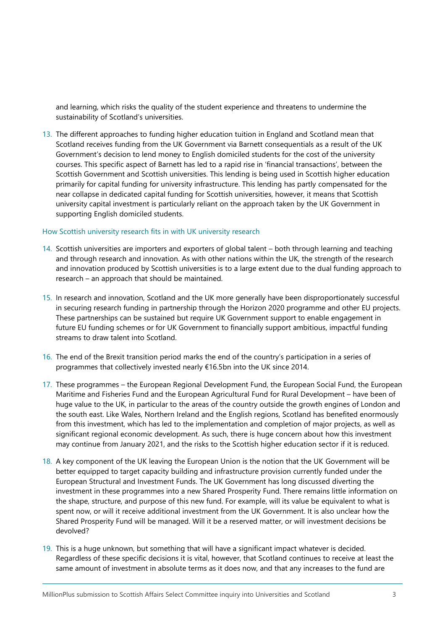and learning, which risks the quality of the student experience and threatens to undermine the sustainability of Scotland's universities.

13. The different approaches to funding higher education tuition in England and Scotland mean that Scotland receives funding from the UK Government via Barnett consequentials as a result of the UK Government's decision to lend money to English domiciled students for the cost of the university courses. This specific aspect of Barnett has led to a rapid rise in 'financial transactions', between the Scottish Government and Scottish universities. This lending is being used in Scottish higher education primarily for capital funding for university infrastructure. This lending has partly compensated for the near collapse in dedicated capital funding for Scottish universities, however, it means that Scottish university capital investment is particularly reliant on the approach taken by the UK Government in supporting English domiciled students.

#### How Scottish university research fits in with UK university research

- 14. Scottish universities are importers and exporters of global talent both through learning and teaching and through research and innovation. As with other nations within the UK, the strength of the research and innovation produced by Scottish universities is to a large extent due to the dual funding approach to research – an approach that should be maintained.
- 15. In research and innovation, Scotland and the UK more generally have been disproportionately successful in securing research funding in partnership through the Horizon 2020 programme and other EU projects. These partnerships can be sustained but require UK Government support to enable engagement in future EU funding schemes or for UK Government to financially support ambitious, impactful funding streams to draw talent into Scotland.
- 16. The end of the Brexit transition period marks the end of the country's participation in a series of programmes that collectively invested nearly €16.5bn into the UK since 2014.
- 17. These programmes the European Regional Development Fund, the European Social Fund, the European Maritime and Fisheries Fund and the European Agricultural Fund for Rural Development – have been of huge value to the UK, in particular to the areas of the country outside the growth engines of London and the south east. Like Wales, Northern Ireland and the English regions, Scotland has benefited enormously from this investment, which has led to the implementation and completion of major projects, as well as significant regional economic development. As such, there is huge concern about how this investment may continue from January 2021, and the risks to the Scottish higher education sector if it is reduced.
- 18. A key component of the UK leaving the European Union is the notion that the UK Government will be better equipped to target capacity building and infrastructure provision currently funded under the European Structural and Investment Funds. The UK Government has long discussed diverting the investment in these programmes into a new Shared Prosperity Fund. There remains little information on the shape, structure, and purpose of this new fund. For example, will its value be equivalent to what is spent now, or will it receive additional investment from the UK Government. It is also unclear how the Shared Prosperity Fund will be managed. Will it be a reserved matter, or will investment decisions be devolved?
- 19. This is a huge unknown, but something that will have a significant impact whatever is decided. Regardless of these specific decisions it is vital, however, that Scotland continues to receive at least the same amount of investment in absolute terms as it does now, and that any increases to the fund are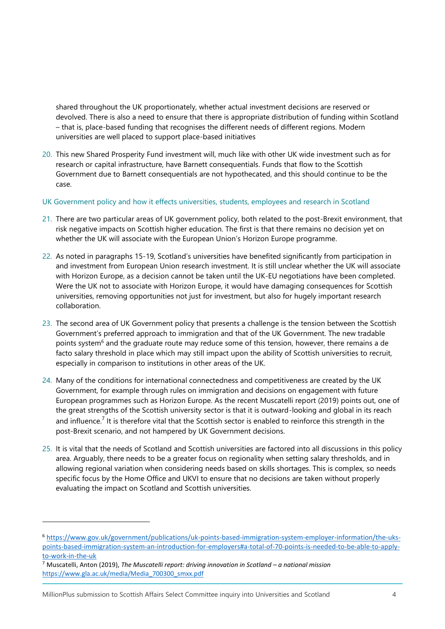shared throughout the UK proportionately, whether actual investment decisions are reserved or devolved. There is also a need to ensure that there is appropriate distribution of funding within Scotland – that is, place-based funding that recognises the different needs of different regions. Modern universities are well placed to support place-based initiatives

- 20. This new Shared Prosperity Fund investment will, much like with other UK wide investment such as for research or capital infrastructure, have Barnett consequentials. Funds that flow to the Scottish Government due to Barnett consequentials are not hypothecated, and this should continue to be the case.
- UK Government policy and how it effects universities, students, employees and research in Scotland
- 21. There are two particular areas of UK government policy, both related to the post-Brexit environment, that risk negative impacts on Scottish higher education. The first is that there remains no decision yet on whether the UK will associate with the European Union's Horizon Europe programme.
- 22. As noted in paragraphs 15-19, Scotland's universities have benefited significantly from participation in and investment from European Union research investment. It is still unclear whether the UK will associate with Horizon Europe, as a decision cannot be taken until the UK-EU negotiations have been completed. Were the UK not to associate with Horizon Europe, it would have damaging consequences for Scottish universities, removing opportunities not just for investment, but also for hugely important research collaboration.
- 23. The second area of UK Government policy that presents a challenge is the tension between the Scottish Government's preferred approach to immigration and that of the UK Government. The new tradable points system<sup>6</sup> and the graduate route may reduce some of this tension, however, there remains a de facto salary threshold in place which may still impact upon the ability of Scottish universities to recruit, especially in comparison to institutions in other areas of the UK.
- 24. Many of the conditions for international connectedness and competitiveness are created by the UK Government, for example through rules on immigration and decisions on engagement with future European programmes such as Horizon Europe. As the recent Muscatelli report (2019) points out, one of the great strengths of the Scottish university sector is that it is outward-looking and global in its reach and influence.<sup>7</sup> It is therefore vital that the Scottish sector is enabled to reinforce this strength in the post-Brexit scenario, and not hampered by UK Government decisions.
- 25. It is vital that the needs of Scotland and Scottish universities are factored into all discussions in this policy area. Arguably, there needs to be a greater focus on regionality when setting salary thresholds, and in allowing regional variation when considering needs based on skills shortages. This is complex, so needs specific focus by the Home Office and UKVI to ensure that no decisions are taken without properly evaluating the impact on Scotland and Scottish universities.

<sup>6</sup> [https://www.gov.uk/government/publications/uk-points-based-immigration-system-employer-information/the-uks](https://www.gov.uk/government/publications/uk-points-based-immigration-system-employer-information/the-uks-points-based-immigration-system-an-introduction-for-employers#a-total-of-70-points-is-needed-to-be-able-to-apply-to-work-in-the-uk)[points-based-immigration-system-an-introduction-for-employers#a-total-of-70-points-is-needed-to-be-able-to-apply](https://www.gov.uk/government/publications/uk-points-based-immigration-system-employer-information/the-uks-points-based-immigration-system-an-introduction-for-employers#a-total-of-70-points-is-needed-to-be-able-to-apply-to-work-in-the-uk)[to-work-in-the-uk](https://www.gov.uk/government/publications/uk-points-based-immigration-system-employer-information/the-uks-points-based-immigration-system-an-introduction-for-employers#a-total-of-70-points-is-needed-to-be-able-to-apply-to-work-in-the-uk)

<sup>7</sup> Muscatelli, Anton (2019), *The Muscatelli report: driving innovation in Scotland – a national mission* [https://www.gla.ac.uk/media/Media\\_700300\\_smxx.pdf](https://www.gla.ac.uk/media/Media_700300_smxx.pdf)

MillionPlus submission to Scottish Affairs Select Committee inquiry into Universities and Scotland 4